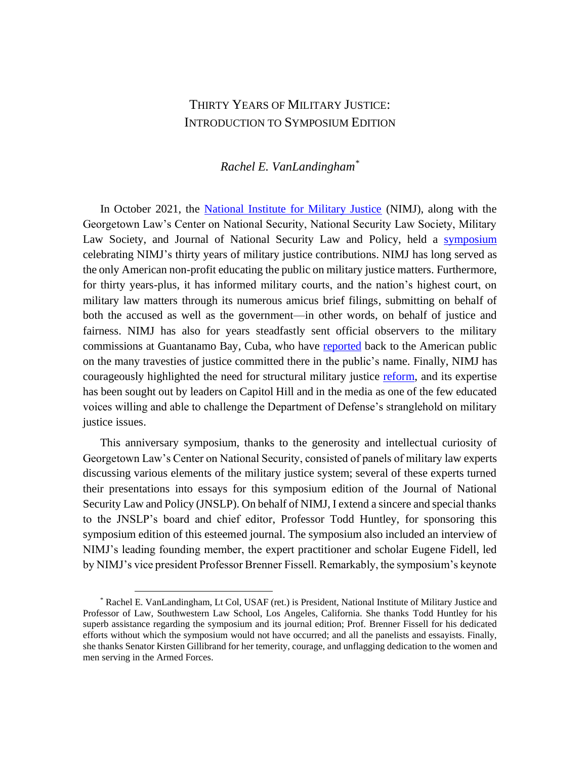## THIRTY YEARS OF MILITARY JUSTICE: INTRODUCTION TO SYMPOSIUM EDITION

## *Rachel E. VanLandingham\**

In October 2021, the [National Institute for Military Justice](https://www.nimj.org/) (NIMJ), along with the Georgetown Law's Center on National Security, National Security Law Society, Military Law Society, and Journal of National Security Law and Policy, held a [symposium](https://www.law.georgetown.edu/national-security-center/symposium-thirty-years-of-military-justice/) celebrating NIMJ's thirty years of military justice contributions. NIMJ has long served as the only American non-profit educating the public on military justice matters. Furthermore, for thirty years-plus, it has informed military courts, and the nation's highest court, on military law matters through its numerous amicus brief filings, submitting on behalf of both the accused as well as the government—in other words, on behalf of justice and fairness. NIMJ has also for years steadfastly sent official observers to the military commissions at Guantanamo Bay, Cuba, who have [reported](https://www.nimj.org/reports.html) back to the American public on the many travesties of justice committed there in the public's name. Finally, NIMJ has courageously highlighted the need for structural military justice [reform,](https://www.nimj.org/position-papers--letters.html) and its expertise has been sought out by leaders on Capitol Hill and in the media as one of the few educated voices willing and able to challenge the Department of Defense's stranglehold on military justice issues.

This anniversary symposium, thanks to the generosity and intellectual curiosity of Georgetown Law's Center on National Security, consisted of panels of military law experts discussing various elements of the military justice system; several of these experts turned their presentations into essays for this symposium edition of the Journal of National Security Law and Policy (JNSLP). On behalf of NIMJ, I extend a sincere and special thanks to the JNSLP's board and chief editor, Professor Todd Huntley, for sponsoring this symposium edition of this esteemed journal. The symposium also included an interview of NIMJ's leading founding member, the expert practitioner and scholar Eugene Fidell, led by NIMJ's vice president Professor Brenner Fissell. Remarkably, the symposium's keynote

<sup>\*</sup> Rachel E. VanLandingham, Lt Col, USAF (ret.) is President, National Institute of Military Justice and Professor of Law, Southwestern Law School, Los Angeles, California. She thanks Todd Huntley for his superb assistance regarding the symposium and its journal edition; Prof. Brenner Fissell for his dedicated efforts without which the symposium would not have occurred; and all the panelists and essayists. Finally, she thanks Senator Kirsten Gillibrand for her temerity, courage, and unflagging dedication to the women and men serving in the Armed Forces.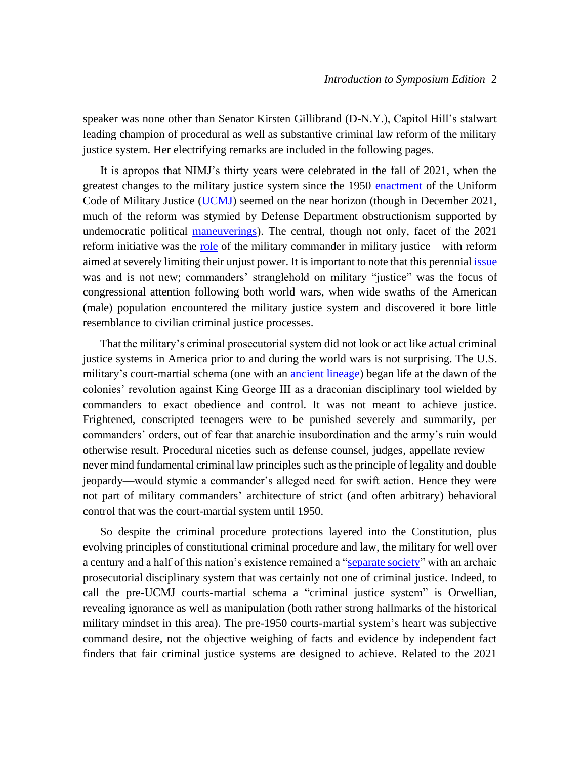speaker was none other than Senator Kirsten Gillibrand (D-N.Y.), Capitol Hill's stalwart leading champion of procedural as well as substantive criminal law reform of the military justice system. Her electrifying remarks are included in the following pages.

It is apropos that NIMJ's thirty years were celebrated in the fall of 2021, when the greatest changes to the military justice system since the 1950 [enactment](https://afcca.law.af.mil/content/afcca_data/cp/history.pdf) of the Uniform Code of Military Justice [\(UCMJ\)](https://www.law.cornell.edu/uscode/text/10/subtitle-A/part-II/chapter-47) seemed on the near horizon (though in December 2021, much of the reform was stymied by Defense Department obstructionism supported by undemocratic political [maneuverings\)](https://thehill.com/opinion/judiciary/559388-our-new-praetorian-guard/). The central, though not only, facet of the 2021 reform initiative was the [role](https://www.justsecurity.org/77025/professional-criminal-prosecution-versus-the-siren-song-of-command-the-road-to-improve-military-justice/) of the military commander in military justice—with reform aimed at severely limiting their unjust power. It is important to note that this perennia[l issue](https://www.protectourdefenders.com/downloads/Military_Justice_Overiew.pdf) was and is not new; commanders' stranglehold on military "justice" was the focus of congressional attention following both world wars, when wide swaths of the American (male) population encountered the military justice system and discovered it bore little resemblance to civilian criminal justice processes.

That the military's criminal prosecutorial system did not look or act like actual criminal justice systems in America prior to and during the world wars is not surprising. The U.S. military's court-martial schema (one with an [ancient lineage\)](https://repository.law.uic.edu/cgi/viewcontent.cgi?article=2857&context=lawreview) began life at the dawn of the colonies' revolution against King George III as a draconian disciplinary tool wielded by commanders to exact obedience and control. It was not meant to achieve justice. Frightened, conscripted teenagers were to be punished severely and summarily, per commanders' orders, out of fear that anarchic insubordination and the army's ruin would otherwise result. Procedural niceties such as defense counsel, judges, appellate review never mind fundamental criminal law principles such as the principle of legality and double jeopardy—would stymie a commander's alleged need for swift action. Hence they were not part of military commanders' architecture of strict (and often arbitrary) behavioral control that was the court-martial system until 1950.

So despite the criminal procedure protections layered into the Constitution, plus evolving principles of constitutional criminal procedure and law, the military for well over a century and a half of this nation's existence remained a ["separate society"](https://supreme.justia.com/cases/federal/us/417/733/) with an archaic prosecutorial disciplinary system that was certainly not one of criminal justice. Indeed, to call the pre-UCMJ courts-martial schema a "criminal justice system" is Orwellian, revealing ignorance as well as manipulation (both rather strong hallmarks of the historical military mindset in this area). The pre-1950 courts-martial system's heart was subjective command desire, not the objective weighing of facts and evidence by independent fact finders that fair criminal justice systems are designed to achieve. Related to the 2021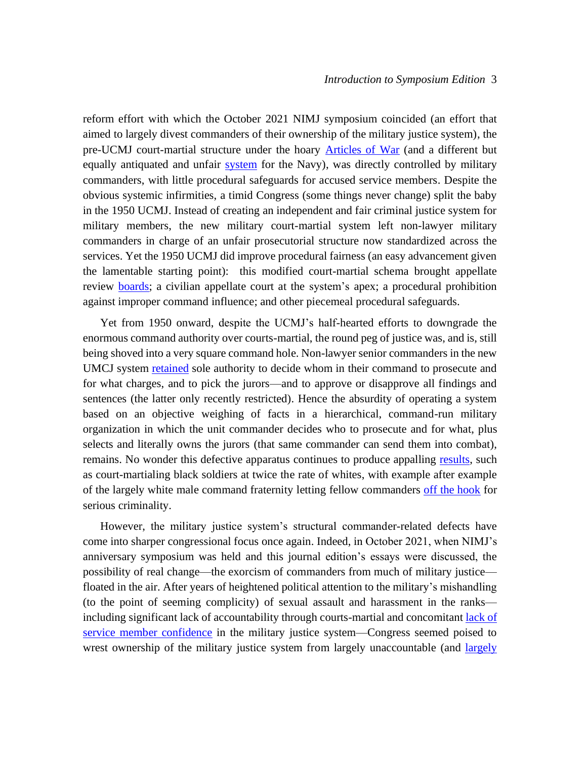reform effort with which the October 2021 NIMJ symposium coincided (an effort that aimed to largely divest commanders of their ownership of the military justice system), the pre-UCMJ court-martial structure under the hoary [Articles of War](https://avalon.law.yale.edu/18th_century/contcong_09-20-76.asp) (and a different but equally antiquated and unfair [system](https://www.history.navy.mil/research/library/online-reading-room/title-list-alphabetically/r/navy-regulations-17751.html) for the Navy), was directly controlled by military commanders, with little procedural safeguards for accused service members. Despite the obvious systemic infirmities, a timid Congress (some things never change) split the baby in the 1950 UCMJ. Instead of creating an independent and fair criminal justice system for military members, the new military court-martial system left non-lawyer military commanders in charge of an unfair prosecutorial structure now standardized across the services. Yet the 1950 UCMJ did improve procedural fairness (an easy advancement given the lamentable starting point): this modified court-martial schema brought appellate review **boards**; a civilian appellate court at the system's apex; a procedural prohibition against improper command influence; and other piecemeal procedural safeguards.

Yet from 1950 onward, despite the UCMJ's half-hearted efforts to downgrade the enormous command authority over courts-martial, the round peg of justice was, and is, still being shoved into a very square command hole. Non-lawyer senior commanders in the new UMCJ system **retained** sole authority to decide whom in their command to prosecute and for what charges, and to pick the jurors—and to approve or disapprove all findings and sentences (the latter only recently restricted). Hence the absurdity of operating a system based on an objective weighing of facts in a hierarchical, command-run military organization in which the unit commander decides who to prosecute and for what, plus selects and literally owns the jurors (that same commander can send them into combat), remains. No wonder this defective apparatus continues to produce appalling [results,](https://www.justsecurity.org/72424/deja-vu-all-over-again-racial-disparity-in-the-military-justice-system/) such as court-martialing black soldiers at twice the rate of whites, with example after example of the largely white male command fraternity letting fellow commanders [off the hook](https://www.armytimes.com/news/your-army/2022/05/18/officer-motorboated-subordinate-at-promotion-ceremony-retires-after-guilty-plea/) for serious criminality.

However, the military justice system's structural commander-related defects have come into sharper congressional focus once again. Indeed, in October 2021, when NIMJ's anniversary symposium was held and this journal edition's essays were discussed, the possibility of real change—the exorcism of commanders from much of military justice floated in the air. After years of heightened political attention to the military's mishandling (to the point of seeming complicity) of sexual assault and harassment in the ranks including significant lack of accountability through courts-martial and concomitan[t lack of](https://www.policechiefmagazine.org/response-to-report-fort-hood-independent-review-committee/)  [service member confidence](https://www.policechiefmagazine.org/response-to-report-fort-hood-independent-review-committee/) in the military justice system—Congress seemed poised to wrest ownership of the military justice system from [largely](https://www.usatoday.com/in-depth/news/politics/2020/09/01/military-diversity-army-shows-few-black-officers-top-leadership/3377371001/) unaccountable (and *largely*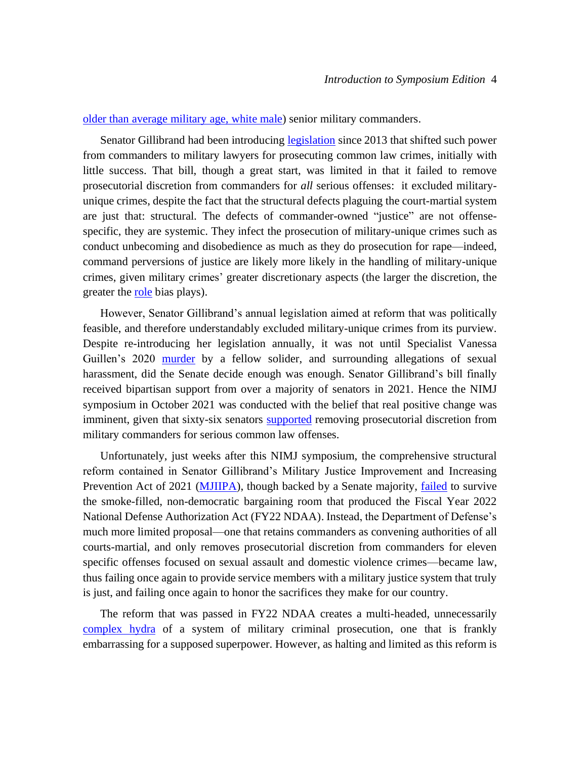[older than average military age, white male\)](https://www.usatoday.com/in-depth/news/politics/2020/09/01/military-diversity-army-shows-few-black-officers-top-leadership/3377371001/) senior military commanders.

Senator Gillibrand had been introducing [legislation](https://www.congress.gov/bill/113th-congress/senate-bill/1752) since 2013 that shifted such power from commanders to military lawyers for prosecuting common law crimes, initially with little success. That bill, though a great start, was limited in that it failed to remove prosecutorial discretion from commanders for *all* serious offenses: it excluded militaryunique crimes, despite the fact that the structural defects plaguing the court-martial system are just that: structural. The defects of commander-owned "justice" are not offensespecific, they are systemic. They infect the prosecution of military-unique crimes such as conduct unbecoming and disobedience as much as they do prosecution for rape—indeed, command perversions of justice are likely more likely in the handling of military-unique crimes, given military crimes' greater discretionary aspects (the larger the discretion, the greater the [role](https://sites.temple.edu/pcrs/2020/06/05/misjudging-in-judging-the-role-of-cognitive-biases-in-shaping-judicial-decisions/) bias plays).

However, Senator Gillibrand's annual legislation aimed at reform that was politically feasible, and therefore understandably excluded military-unique crimes from its purview. Despite re-introducing her legislation annually, it was not until Specialist Vanessa Guillen's 2020 [murder](https://www.texastribune.org/2021/04/30/vanessa-guillen-sexual-harassment-fort-hood/) by a fellow solider, and surrounding allegations of sexual harassment, did the Senate decide enough was enough. Senator Gillibrand's bill finally received bipartisan support from over a majority of senators in 2021. Hence the NIMJ symposium in October 2021 was conducted with the belief that real positive change was imminent, given that sixty-six senators [supported](https://www.feinstein.senate.gov/public/index.cfm/press-releases?ID=AC8457B4-4A28-40D4-A265-2AF80749E147) removing prosecutorial discretion from military commanders for serious common law offenses.

Unfortunately, just weeks after this NIMJ symposium, the comprehensive structural reform contained in Senator Gillibrand's Military Justice Improvement and Increasing Prevention Act of 2021 [\(MJIIPA\)](https://www.congress.gov/bill/117th-congress/senate-bill/1520?q=%7B%22search%22%3A%5B%22military+justice+improvement+act%22%5D%7D&r=1&s=6), though backed by a Senate majority, *failed* to survive the smoke-filled, non-democratic bargaining room that produced the Fiscal Year 2022 National Defense Authorization Act (FY22 NDAA). Instead, the Department of Defense's much more limited proposal—one that retains commanders as convening authorities of all courts-martial, and only removes prosecutorial discretion from commanders for eleven specific offenses focused on sexual assault and domestic violence crimes—became law, thus failing once again to provide service members with a military justice system that truly is just, and failing once again to honor the sacrifices they make for our country.

The reform that was passed in FY22 NDAA creates a multi-headed, unnecessarily [complex](https://www.justsecurity.org/79481/ndaa-a-missed-opportunity/) hydra of a system of military criminal prosecution, one that is frankly embarrassing for a supposed superpower. However, as halting and limited as this reform is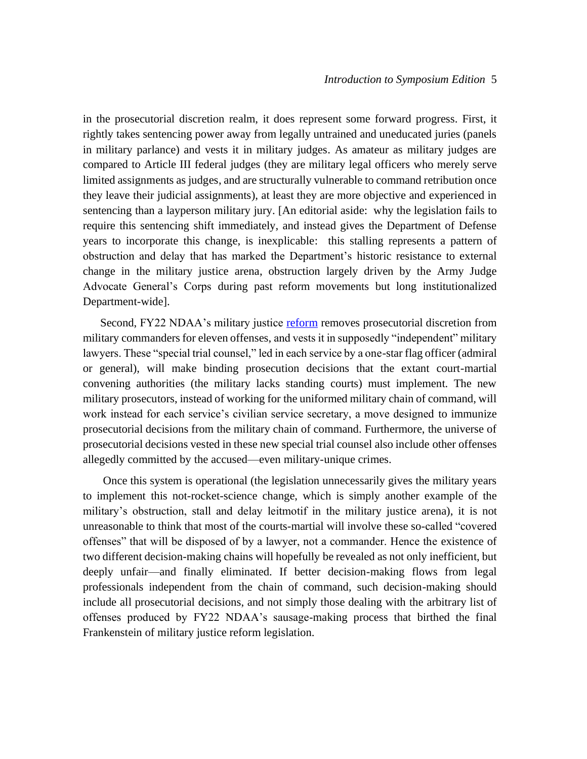in the prosecutorial discretion realm, it does represent some forward progress. First, it rightly takes sentencing power away from legally untrained and uneducated juries (panels in military parlance) and vests it in military judges. As amateur as military judges are compared to Article III federal judges (they are military legal officers who merely serve limited assignments as judges, and are structurally vulnerable to command retribution once they leave their judicial assignments), at least they are more objective and experienced in sentencing than a layperson military jury. [An editorial aside: why the legislation fails to require this sentencing shift immediately, and instead gives the Department of Defense years to incorporate this change, is inexplicable: this stalling represents a pattern of obstruction and delay that has marked the Department's historic resistance to external change in the military justice arena, obstruction largely driven by the Army Judge Advocate General's Corps during past reform movements but long institutionalized Department-wide].

Second, FY22 NDAA's military justice [reform](https://www.congress.gov/117/plaws/publ81/PLAW-117publ81.pdf) removes prosecutorial discretion from military commanders for eleven offenses, and vests it in supposedly "independent" military lawyers. These "special trial counsel," led in each service by a one-star flag officer (admiral or general), will make binding prosecution decisions that the extant court-martial convening authorities (the military lacks standing courts) must implement. The new military prosecutors, instead of working for the uniformed military chain of command, will work instead for each service's civilian service secretary, a move designed to immunize prosecutorial decisions from the military chain of command. Furthermore, the universe of prosecutorial decisions vested in these new special trial counsel also include other offenses allegedly committed by the accused—even military-unique crimes.

Once this system is operational (the legislation unnecessarily gives the military years to implement this not-rocket-science change, which is simply another example of the military's obstruction, stall and delay leitmotif in the military justice arena), it is not unreasonable to think that most of the courts-martial will involve these so-called "covered offenses" that will be disposed of by a lawyer, not a commander. Hence the existence of two different decision-making chains will hopefully be revealed as not only inefficient, but deeply unfair—and finally eliminated. If better decision-making flows from legal professionals independent from the chain of command, such decision-making should include all prosecutorial decisions, and not simply those dealing with the arbitrary list of offenses produced by FY22 NDAA's sausage-making process that birthed the final Frankenstein of military justice reform legislation.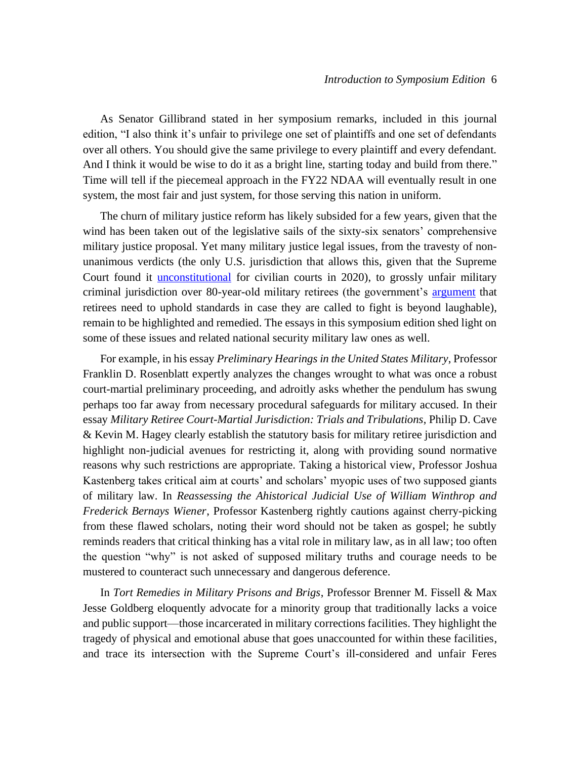As Senator Gillibrand stated in her symposium remarks, included in this journal edition, "I also think it's unfair to privilege one set of plaintiffs and one set of defendants over all others. You should give the same privilege to every plaintiff and every defendant. And I think it would be wise to do it as a bright line, starting today and build from there." Time will tell if the piecemeal approach in the FY22 NDAA will eventually result in one system, the most fair and just system, for those serving this nation in uniform.

The churn of military justice reform has likely subsided for a few years, given that the wind has been taken out of the legislative sails of the sixty-six senators' comprehensive military justice proposal. Yet many military justice legal issues, from the travesty of nonunanimous verdicts (the only U.S. jurisdiction that allows this, given that the Supreme Court found it [unconstitutional](https://www.supremecourt.gov/opinions/19pdf/18-5924_n6io.pdf) for civilian courts in 2020), to grossly unfair military criminal jurisdiction over 80-year-old military retirees (the government's [argument](https://www.justsecurity.org/wp-content/uploads/2021/11/Begani_20211109_Biden-cert-opposition.pdf) that retirees need to uphold standards in case they are called to fight is beyond laughable), remain to be highlighted and remedied. The essays in this symposium edition shed light on some of these issues and related national security military law ones as well.

For example, in his essay *Preliminary Hearings in the United States Military*, Professor Franklin D. Rosenblatt expertly analyzes the changes wrought to what was once a robust court-martial preliminary proceeding, and adroitly asks whether the pendulum has swung perhaps too far away from necessary procedural safeguards for military accused. In their essay *Military Retiree Court-Martial Jurisdiction: Trials and Tribulations*, Philip D. Cave & Kevin M. Hagey clearly establish the statutory basis for military retiree jurisdiction and highlight non-judicial avenues for restricting it, along with providing sound normative reasons why such restrictions are appropriate. Taking a historical view, Professor Joshua Kastenberg takes critical aim at courts' and scholars' myopic uses of two supposed giants of military law. In *Reassessing the Ahistorical Judicial Use of William Winthrop and Frederick Bernays Wiener*, Professor Kastenberg rightly cautions against cherry-picking from these flawed scholars, noting their word should not be taken as gospel; he subtly reminds readers that critical thinking has a vital role in military law, as in all law; too often the question "why" is not asked of supposed military truths and courage needs to be mustered to counteract such unnecessary and dangerous deference.

In *Tort Remedies in Military Prisons and Brigs*, Professor Brenner M. Fissell & Max Jesse Goldberg eloquently advocate for a minority group that traditionally lacks a voice and public support—those incarcerated in military corrections facilities. They highlight the tragedy of physical and emotional abuse that goes unaccounted for within these facilities, and trace its intersection with the Supreme Court's ill-considered and unfair Feres